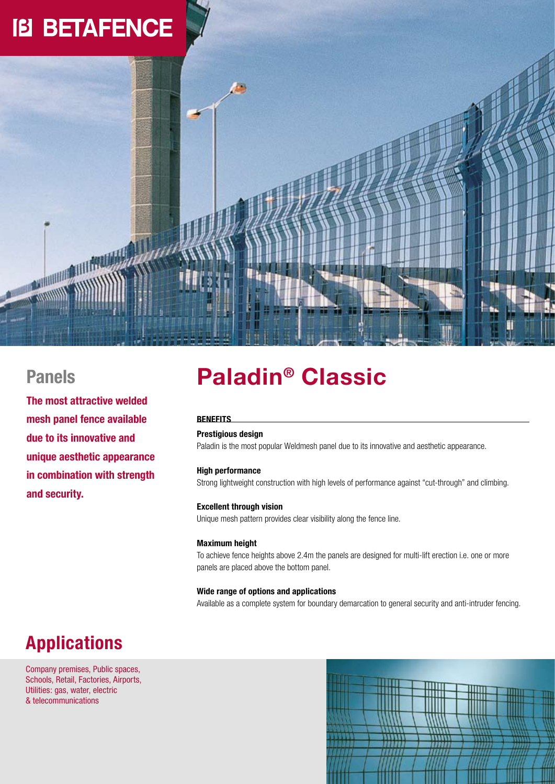# **IB BETAFENCE**

### **Panels**

**Millian** 

**The most attractive welded mesh panel fence available due to its innovative and unique aesthetic appearance in combination with strength and security.**

## **Paladin® Classic**

#### **Benefits**

#### **Prestigious design**

Paladin is the most popular Weldmesh panel due to its innovative and aesthetic appearance.

#### **High performance**

Strong lightweight construction with high levels of performance against "cut-through" and climbing.

#### **Excellent through vision**

Unique mesh pattern provides clear visibility along the fence line.

#### **Maximum height**

To achieve fence heights above 2.4m the panels are designed for multi-lift erection i.e. one or more panels are placed above the bottom panel.

#### **Wide range of options and applications**

Available as a complete system for boundary demarcation to general security and anti-intruder fencing.

## **Applications**

Company premises, Public spaces, Schools, Retail, Factories, Airports, Utilities: gas, water, electric & telecommunications